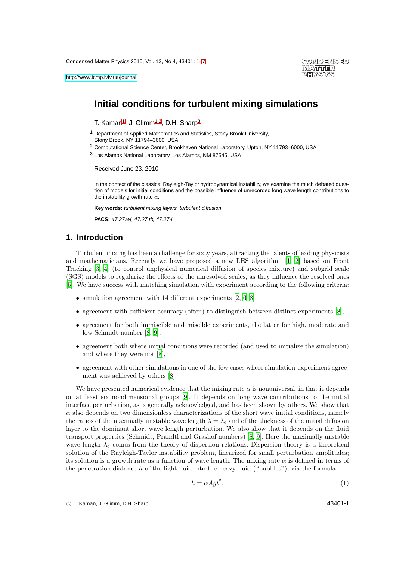# **Initial conditions for turbulent mixing simulations**

<span id="page-0-0"></span>T. Kaman<sup>[1](#page-0-0)</sup>, J. Glimm<sup>[1,](#page-0-0)[2](#page-0-1)</sup>, D.H. Sharp<sup>[3](#page-0-2)</sup>

- <sup>1</sup> Department of Applied Mathematics and Statistics, Stony Brook University,
- <span id="page-0-1"></span>Stony Brook, NY 11794–3600, USA
- <span id="page-0-2"></span><sup>2</sup> Computational Science Center, Brookhaven National Laboratory, Upton, NY 11793–6000, USA
- 3 Los Alamos National Laboratory, Los Alamos, NM 87545, USA

Received June 23, 2010

In the context of the classical Rayleigh-Taylor hydrodynamical instability, we examine the much debated question of models for initial conditions and the possible influence of unrecorded long wave length contributions to the instability growth rate  $\alpha$ .

**Key words:** turbulent mixing layers, turbulent diffusion

**PACS:** 47.27.wj, 47.27.tb, 47.27-i

### **1. Introduction**

Turbulent mixing has been a challenge for sixty years, attracting the talents of leading physicists and mathematicians. Recently we have proposed a new LES algorithm, [\[1](#page-6-1), [2\]](#page-6-2) based on Front Tracking [\[3](#page-6-3), [4](#page-6-4)] (to control unphysical numerical diffusion of species mixture) and subgrid scale (SGS) models to regularize the effects of the unresolved scales, as they influence the resolved ones [\[5\]](#page-6-5). We have success with matching simulation with experiment according to the following criteria:

- simulation agreement with 14 different experiments  $[2, 6-8]$  $[2, 6-8]$  $[2, 6-8]$ ,
- agreement with sufficient accuracy (often) to distinguish between distinct experiments [\[8](#page-6-7)],
- agreement for both immiscible and miscible experiments, the latter for high, moderate and low Schmidt number [\[8](#page-6-7), [9](#page-6-8)],
- agreement both where initial conditions were recorded (and used to initialize the simulation) and where they were not [\[8](#page-6-7)],
- agreement with other simulations in one of the few cases where simulation-experiment agreement was achieved by others [\[8](#page-6-7)].

We have presented numerical evidence that the mixing rate  $\alpha$  is nonuniversal, in that it depends on at least six nondimensional groups [\[9](#page-6-8)]. It depends on long wave contributions to the initial interface perturbation, as is generally acknowledged, and has been shown by others. We show that  $\alpha$  also depends on two dimensionless characterizations of the short wave initial conditions, namely the ratios of the maximally unstable wave length  $\lambda = \lambda_c$  and of the thickness of the initial diffusion layer to the dominant short wave length perturbation. We also show that it depends on the fluid transport properties (Schmidt, Prandtl and Grashof numbers) [\[8,](#page-6-7) [9\]](#page-6-8). Here the maximally unstable wave length  $\lambda_c$  comes from the theory of dispersion relations. Dispersion theory is a theoretical solution of the Rayleigh-Taylor instability problem, linearized for small perturbation amplitudes; its solution is a growth rate as a function of wave length. The mixing rate  $\alpha$  is defined in terms of the penetration distance h of the light fluid into the heavy fluid ("bubbles"), via the formula

<span id="page-0-3"></span>
$$
h = \alpha A g t^2,\tag{1}
$$

c T. Kaman, J. Glimm, D.H. Sharp 43401-1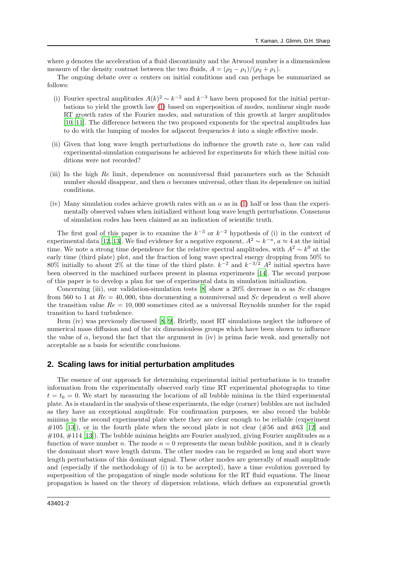where  $g$  denotes the acceleration of a fluid discontinuity and the Atwood number is a dimensionless measure of the density contrast between the two fluids,  $A = (\rho_2 - \rho_1)/(\rho_2 + \rho_1)$ .

The ongoing debate over  $\alpha$  centers on initial conditions and can perhaps be summarized as follows:

- (i) Fourier spectral amplitudes  $A(k)^2 \sim k^{-2}$  and  $k^{-3}$  have been proposed for the initial perturbations to yield the growth law [\(1\)](#page-0-3) based on superposition of modes, nonlinear single mode RT growth rates of the Fourier modes, and saturation of this growth at larger amplitudes [\[10,](#page-6-9) [11\]](#page-6-10). The difference between the two proposed exponents for the spectral amplitudes has to do with the lumping of modes for adjacent frequencies  $k$  into a single effective mode.
- (ii) Given that long wave length perturbations do influence the growth rate  $\alpha$ , how can valid experimental-simulation comparisons be achieved for experiments for which these initial conditions were not recorded?
- (iii) In the high Re limit, dependence on nonuniversal fluid parameters such as the Schmidt number should disappear, and then  $\alpha$  becomes universal, other than its dependence on initial conditions.
- (iv) Many simulation codes achieve growth rates with an  $\alpha$  as in [\(1\)](#page-0-3) half or less than the experimentally observed values when initialized without long wave length perturbations. Consensus of simulation codes has been claimed as an indication of scientific truth.

The first goal of this paper is to examine the  $k^{-3}$  or  $k^{-2}$  hypothesis of (i) in the context of experimental data [\[12,](#page-6-11) [13\]](#page-6-12). We find evidence for a negative exponent,  $A^2 \sim k^{-a}$ ,  $a \approx 4$  at the initial time. We note a strong time dependence for the relative spectral amplitudes, with  $A^2 \sim k^0$  at the early time (third plate) plot, and the fraction of long wave spectral energy dropping from 50% to 80% initially to about 2% at the time of the third plate.  $k^{-2}$  and  $k^{-3/2}$   $A^2$  initial spectra have been observed in the machined surfaces present in plasma experiments [\[14](#page-6-13)]. The second purpose of this paper is to develop a plan for use of experimental data in simulation initialization.

Concerning (iii), our validation-simulation tests [\[8\]](#page-6-7) show a 20% decrease in  $\alpha$  as Sc changes from 560 to 1 at  $Re = 40,000$ , thus documenting a nonuniversal and Sc dependent  $\alpha$  well above the transition value  $Re = 10,000$  sometimes cited as a universal Reynolds number for the rapid transition to hard turbulence.

Item (iv) was previously discussed [\[8,](#page-6-7) [9\]](#page-6-8). Briefly, most RT simulations neglect the influence of numerical mass diffusion and of the six dimensionless groups which have been shown to influence the value of  $\alpha$ , beyond the fact that the argument in (iv) is prima facie weak, and generally not acceptable as a basis for scientific conclusions.

#### **2. Scaling laws for initial perturbation amplitudes**

The essence of our approach for determining experimental initial perturbations is to transfer information from the experimentally observed early time RT experimental photographs to time  $t = t_0 = 0$ . We start by measuring the locations of all bubble minima in the third experimental plate. As is standard in the analysis of these experiments, the edge (corner) bubbles are not included as they have an exceptional amplitude. For confirmation purposes, we also record the bubble minima in the second experimental plate where they are clear enough to be reliable (experiment  $\#105$  [\[13\]](#page-6-12)), or in the fourth plate when the second plate is not clear ( $\#56$  and  $\#63$  [\[12\]](#page-6-11) and  $\#104$ ,  $\#114$  [\[13\]](#page-6-12)). The bubble minima heights are Fourier analyzed, giving Fourier amplitudes as a function of wave number n. The mode  $n = 0$  represents the mean bubble position, and it is clearly the dominant short wave length datum. The other modes can be regarded as long and short wave length perturbations of this dominant signal. These other modes are generally of small amplitude and (especially if the methodology of (i) is to be accepted), have a time evolution governed by superposition of the propagation of single mode solutions for the RT fluid equations. The linear propagation is based on the theory of dispersion relations, which defines an exponential growth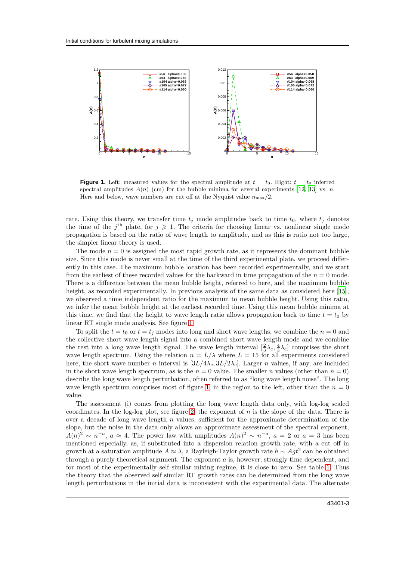

<span id="page-2-0"></span>**Figure 1.** Left: measured values for the spectral amplitude at  $t = t_3$ . Right:  $t = t_0$  inferred spectral amplitudes  $A(n)$  (cm) for the bubble minima for several experiments [\[12,](#page-6-11) [13](#page-6-12)] vs. n. Here and below, wave numbers are cut off at the Nyquist value  $n_{\text{max}}/2$ .

rate. Using this theory, we transfer time  $t_j$  mode amplitudes back to time  $t_0$ , where  $t_j$  denotes the time of the j<sup>th</sup> plate, for  $j \geqslant 1$ . The criteria for choosing linear vs. nonlinear single mode propagation is based on the ratio of wave length to amplitude, and as this is ratio not too large, the simpler linear theory is used.

The mode  $n = 0$  is assigned the most rapid growth rate, as it represents the dominant bubble size. Since this mode is never small at the time of the third experimental plate, we proceed differently in this case. The maximum bubble location has been recorded experimentally, and we start from the earliest of these recorded values for the backward in time propagation of the  $n = 0$  mode. There is a difference between the mean bubble height, referred to here, and the maximum bubble height, as recorded experimentally. In previous analysis of the same data as considered here [\[15\]](#page-6-14), we observed a time independent ratio for the maximum to mean bubble height. Using this ratio, we infer the mean bubble height at the earliest recorded time. Using this mean bubble minima at this time, we find that the height to wave length ratio allows propagation back to time  $t = t_0$  by linear RT single mode analysis. See figure [1.](#page-2-0)

To split the  $t = t_0$  or  $t = t_j$  modes into long and short wave lengths, we combine the  $n = 0$  and the collective short wave length signal into a combined short wave length mode and we combine the rest into a long wave length signal. The wave length interval  $[\frac{2}{3}\lambda_c, \frac{4}{3}\lambda_c]$  comprises the short wave length spectrum. Using the relation  $n = L/\lambda$  where  $L = 15$  for all experiments considered here, the short wave number n interval is  $[3L/4\lambda_c, 3L/2\lambda_c]$ . Larger n values, if any, are included in the short wave length spectrum, as is the  $n = 0$  value. The smaller n values (other than  $n = 0$ ) describe the long wave length perturbation, often referred to as "long wave length noise". The long wave length spectrum comprises most of figure [1,](#page-2-0) in the region to the left, other than the  $n = 0$ value.

The assessment (i) comes from plotting the long wave length data only, with log-log scaled coordinates. In the log-log plot, see figure [2,](#page-3-0) the exponent of  $n$  is the slope of the data. There is over a decade of long wave length  $n$  values, sufficient for the approximate determination of the slope, but the noise in the data only allows an approximate assessment of the spectral exponent,  $A(n)^2 \sim n^{-a}, a \approx 4$ . The power law with amplitudes  $A(n)^2 \sim n^{-a}, a = 2$  or  $a = 3$  has been mentioned especially, as, if substituted into a dispersion relation growth rate, with a cut off in growth at a saturation amplitude  $A \approx \lambda$ , a Rayleigh-Taylor growth rate  $h \sim Agt^2$  can be obtained through a purely theoretical argument. The exponent a is, however, strongly time dependent, and for most of the experimentally self similar mixing regime, it is close to zero. See table [1.](#page-4-0) Thus the theory that the observed self similar RT growth rates can be determined from the long wave length perturbations in the initial data is inconsistent with the experimental data. The alternate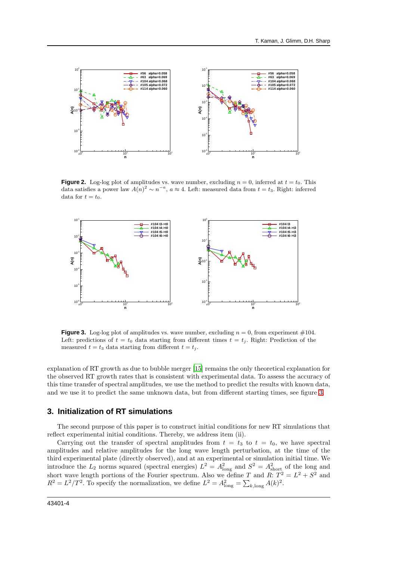

<span id="page-3-0"></span>**Figure 2.** Log-log plot of amplitudes vs. wave number, excluding  $n = 0$ , inferred at  $t = t_0$ . This data satisfies a power law  $A(n)^2 \sim n^{-a}$ ,  $a \approx 4$ . Left: measured data from  $t = t_3$ . Right: inferred data for  $t = t_0$ .



<span id="page-3-1"></span>**Figure 3.** Log-log plot of amplitudes vs. wave number, excluding  $n = 0$ , from experiment  $\#104$ . Left: predictions of  $t = t_0$  data starting from different times  $t = t_i$ . Right: Prediction of the measured  $t = t_3$  data starting from different  $t = t_j$ .

explanation of RT growth as due to bubble merger [\[15\]](#page-6-14) remains the only theoretical explanation for the observed RT growth rates that is consistent with experimental data. To assess the accuracy of this time transfer of spectral amplitudes, we use the method to predict the results with known data, and we use it to predict the same unknown data, but from different starting times, see figure [3.](#page-3-1)

## **3. Initialization of RT simulations**

The second purpose of this paper is to construct initial conditions for new RT simulations that reflect experimental initial conditions. Thereby, we address item (ii).

Carrying out the transfer of spectral amplitudes from  $t = t_3$  to  $t = t_0$ , we have spectral amplitudes and relative amplitudes for the long wave length perturbation, at the time of the third experimental plate (directly observed), and at an experimental or simulation initial time. We introduce the  $L_2$  norms squared (spectral energies)  $L^2 = A_{\text{long}}^2$  and  $S^2 = A_{\text{short}}^2$  of the long and short wave length portions of the Fourier spectrum. Also we define T and R:  $T^2 = L^2 + S^2$  and  $R^2 = L^2/T^2$ . To specify the normalization, we define  $L^2 = A_{\text{long}}^2 = \sum_{k,\text{long}} A(k)^2$ .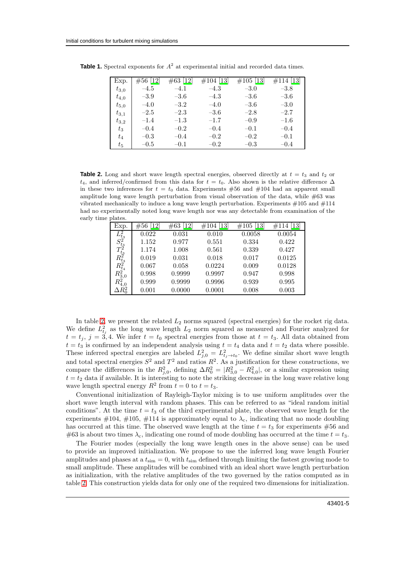<span id="page-4-0"></span>

| Exp.      | $#56$ [12] | $\#63$ [12] | $\#104$ [13] | $\#105$ [13] | $\#114$ [13] |
|-----------|------------|-------------|--------------|--------------|--------------|
| $t_{3,0}$ | $-4.5$     | $-4.1$      | $-4.3$       | $-3.0$       | $-3.8$       |
| $t_{4,0}$ | $-3.9$     | $-3.6$      | $-4.3$       | $-3.6$       | $-3.6$       |
| $t_{5,0}$ | $-4.0$     | $-3.2$      | $-4.0$       | $-3.6$       | $-3.0$       |
| $t_{3,1}$ | $-2.5$     | $-2.3$      | $-3.6$       | $-2.8$       | $-2.7$       |
| $t_{3,2}$ | $-1.4$     | $-1.3\,$    | $-1.7$       | $-0.9$       | $-1.6$       |
| $t_3$     | $-0.4$     | $-0.2$      | $-0.4$       | $-0.1$       | $-0.4$       |
| $t_{4}$   | $-0.3$     | $-0.4$      | $-0.2$       | $-0.2$       | $-0.1$       |
| $t_{5}$   | $-0.5$     | $-0.1$      | $-0.2$       | $-0.3$       | $-0.4$       |

**Table 1.** Spectral exponents for  $A^2$  at experimental initial and recorded data times.

<span id="page-4-1"></span>**Table 2.** Long and short wave length spectral energies, observed directly at  $t = t_3$  and  $t_2$  or t<sub>4</sub>, and inferred/confirmed from this data for  $t = t_0$ . Also shown is the relative difference  $\Delta$ in these two inferences for  $t = t_0$  data. Experiments #56 and #104 had an apparent small amplitude long wave length perturbation from visual observation of the data, while #63 was vibrated mechanically to induce a long wave length perturbation. Experiments  $\#105$  and  $\#114$ had no experimentally noted long wave length nor was any detectable from examination of the early time plates.

| Exp.                                               | $\lceil 12 \rceil$<br>#56 | $\left\lceil 12\right\rceil$<br>#63 | $\left\lceil 13 \right\rceil$<br>#104 | $\left[13\right]$<br>#105 | 13<br>#114 |
|----------------------------------------------------|---------------------------|-------------------------------------|---------------------------------------|---------------------------|------------|
|                                                    | 0.022                     | 0.031                               | 0.010                                 | 0.0058                    | 0.0054     |
|                                                    | 1.152                     | 0.977                               | 0.551                                 | 0.334                     | 0.422      |
|                                                    | 1.174                     | 1.008                               | 0.561                                 | 0.339                     | 0.427      |
|                                                    | 0.019                     | 0.031                               | 0.018                                 | 0.017                     | 0.0125     |
| $L^2_{t_3}S^2_{t_3}T^2_{t_3}R^2_{t_4} \ R^2_{t_4}$ | 0.067                     | 0.058                               | 0.0224                                | 0.009                     | 0.0128     |
|                                                    | 0.998                     | 0.9999                              | 0.9997                                | 0.947                     | 0.998      |
| $\frac{R_{3,0}^{\tilde{2}^*}}{R_{4,0}^2}$          | 0.999                     | 0.9999                              | 0.9996                                | 0.939                     | 0.995      |
| $\Delta R_0^2$                                     | 0.001                     | 0.0000                              | 0.0001                                | 0.008                     | 0.003      |

In table [2,](#page-4-1) we present the related  $L_2$  norms squared (spectral energies) for the rocket rig data. We define  $L_{t_j}^2$  as the long wave length  $L_2$  norm squared as measured and Fourier analyzed for  $t = t_j$ ,  $j = 3, 4$ . We infer  $t = t_0$  spectral energies from those at  $t = t_3$ . All data obtained from  $t = t_3$  is confirmed by an independent analysis using  $t = t_4$  data and  $t = t_2$  data where possible. These inferred spectral energies are labeled  $L_{j,0}^2 = L_{t_j \to t_0}^2$ . We define similar short wave length and total spectral energies  $S^2$  and  $T^2$  and ratios  $R^2$ . As a justification for these constructions, we compare the differences in the  $R_{j,0}^2$ , defining  $\Delta R_0^2 = |R_{3,0}^2 - R_{4,0}^2|$ , or a similar expression using  $t = t_2$  data if available. It is interesting to note the striking decrease in the long wave relative long wave length spectral energy  $R^2$  from  $t = 0$  to  $t = t_3$ .

Conventional initialization of Rayleigh-Taylor mixing is to use uniform amplitudes over the short wave length interval with random phases. This can be referred to as "ideal random initial conditions". At the time  $t = t_3$  of the third experimental plate, the observed wave length for the experiments  $\#104$ ,  $\#105$ ,  $\#114$  is approximately equal to  $\lambda_c$ , indicating that no mode doubling has occurred at this time. The observed wave length at the time  $t = t_3$  for experiments #56 and #63 is about two times  $\lambda_c$ , indicating one round of mode doubling has occurred at the time  $t = t_3$ .

The Fourier modes (especially the long wave length ones in the above sense) can be used to provide an improved initialization. We propose to use the inferred long wave length Fourier amplitudes and phases at a  $t_{\text{sim}} = 0$ , with  $t_{\text{sim}}$  defined through limiting the fastest growing mode to small amplitude. These amplitudes will be combined with an ideal short wave length perturbation as initialization, with the relative amplitudes of the two governed by the ratios computed as in table [2.](#page-4-1) This construction yields data for only one of the required two dimensions for initialization.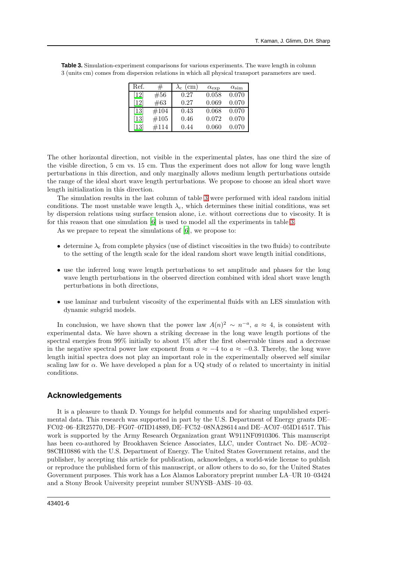| Ref.                         | #    | $\rm (cm)$<br>$\lambda_{\rm c}$ | $\alpha_{\rm exp}$ | $\alpha_{\rm sim}$ |
|------------------------------|------|---------------------------------|--------------------|--------------------|
| $\left[12\right]$            | #56  | 0.27                            | 0.058              | 0.070              |
| $\left\lceil 12\right\rceil$ | #63  | 0.27                            | 0.069              | 0.070              |
| $\left\lceil 13\right\rceil$ | #104 | 0.43                            | 0.068              | 0.070              |
| $\left[13\right]$            | #105 | 0.46                            | 0.072              | 0.070              |
| $\left[13\right]$            | #114 | 0.44                            | 0.060              | 0.070              |

<span id="page-5-0"></span>**Table 3.** Simulation-experiment comparisons for various experiments. The wave length in column 3 (units cm) comes from dispersion relations in which all physical transport parameters are used.

The other horizontal direction, not visible in the experimental plates, has one third the size of the visible direction, 5 cm vs. 15 cm. Thus the experiment does not allow for long wave length perturbations in this direction, and only marginally allows medium length perturbations outside the range of the ideal short wave length perturbations. We propose to choose an ideal short wave length initialization in this direction.

The simulation results in the last column of table [3](#page-5-0) were performed with ideal random initial conditions. The most unstable wave length  $\lambda_c$ , which determines these initial conditions, was set by dispersion relations using surface tension alone, i.e. without corrections due to viscosity. It is for this reason that one simulation [\[6\]](#page-6-6) is used to model all the experiments in table [3.](#page-5-0)

As we prepare to repeat the simulations of [\[6\]](#page-6-6), we propose to:

- determine  $\lambda_c$  from complete physics (use of distinct viscosities in the two fluids) to contribute to the setting of the length scale for the ideal random short wave length initial conditions,
- use the inferred long wave length perturbations to set amplitude and phases for the long wave length perturbations in the observed direction combined with ideal short wave length perturbations in both directions,
- use laminar and turbulent viscosity of the experimental fluids with an LES simulation with dynamic subgrid models.

In conclusion, we have shown that the power law  $A(n)^2 \sim n^{-a}$ ,  $a \approx 4$ , is consistent with experimental data. We have shown a striking decrease in the long wave length portions of the spectral energies from 99% initially to about 1% after the first observable times and a decrease in the negative spectral power law exponent from  $a \approx -4$  to  $a \approx -0.3$ . Thereby, the long wave length initial spectra does not play an important role in the experimentally observed self similar scaling law for  $\alpha$ . We have developed a plan for a UQ study of  $\alpha$  related to uncertainty in initial conditions.

#### **Acknowledgements**

It is a pleasure to thank D. Youngs for helpful comments and for sharing unpublished experimental data. This research was supported in part by the U.S. Department of Energy grants DE– FC02–06–ER25770, DE–FG07–07ID14889, DE–FC52–08NA28614 and DE–AC07–05ID14517. This work is supported by the Army Research Organization grant W911NF0910306. This manuscript has been co-authored by Brookhaven Science Associates, LLC, under Contract No. DE–AC02– 98CH10886 with the U.S. Department of Energy. The United States Government retains, and the publisher, by accepting this article for publication, acknowledges, a world-wide license to publish or reproduce the published form of this manuscript, or allow others to do so, for the United States Government purposes. This work has a Los Alamos Laboratory preprint number LA–UR 10–03424 and a Stony Brook University preprint number SUNYSB–AMS–10–03.